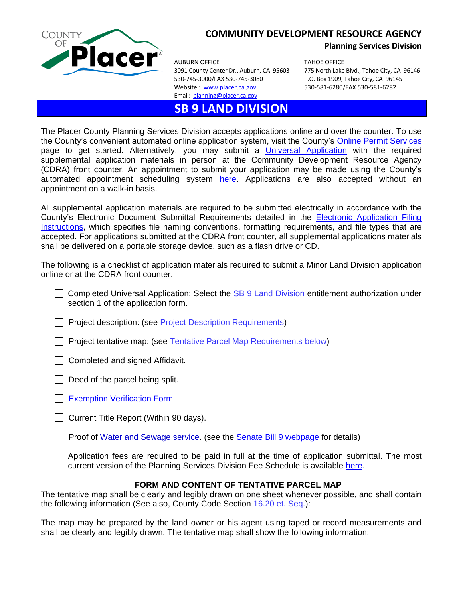

## **COMMUNITY DEVELOPMENT RESOURCE AGENCY**

AUBURN OFFICE TAHOE OFFICE 3091 County Center Dr., Auburn, CA 95603 775 North Lake Blvd., Tahoe City, CA 96146 530-745-3000/FAX 530-745-3080 P.O. Box 1909, Tahoe City, CA 96145 Website : [www.placer.ca.gov](http://www.placer.ca.gov/) 530-581-6280/FAX 530-581-6282 Email: [planning@placer.ca.gov](mailto:planning@placer.ca.gov) 

## **SB 9 LAND DIVISION**

**Planning Services Division**

The Placer County Planning Services Division accepts applications online and over the counter. To use the County's convenient automated online application system, visit the County's [Online Permit Services](https://permits.placer.ca.gov/CitizenAccess/) page to get started. Alternatively, you may submit a [Universal Application](https://www.placer.ca.gov/2870/Application-Fees-Forms) with the required supplemental application materials in person at the Community Development Resource Agency (CDRA) front counter. An appointment to submit your application may be made using the County's automated appointment scheduling system [here.](https://kiosk.na1.qless.com/kiosk/app/home/10000000169) Applications are also accepted without an appointment on a walk-in basis.

All supplemental application materials are required to be submitted electrically in accordance with the County's Electronic Document Submittal Requirements detailed in the [Electronic Application Filing](https://www.placer.ca.gov/2870/Application-Fees-Forms)  [Instructions,](https://www.placer.ca.gov/2870/Application-Fees-Forms) which specifies file naming conventions, formatting requirements, and file types that are accepted. For applications submitted at the CDRA front counter, all supplemental applications materials shall be delivered on a portable storage device, such as a flash drive or CD.

The following is a checklist of application materials required to submit a Minor Land Division application online or at the CDRA front counter.

- $\Box$  Completed Universal Application: Select the SB 9 Land Division entitlement authorization under section 1 of the application form.
- $\Box$  Project description: (see Project Description Requirements)
- $\Box$  Project tentative map: (see Tentative Parcel Map Requirements below)
- $\Box$  Completed and signed Affidavit.
- $\Box$  Deed of the parcel being split.
- [Exemption Verification Form](https://www.placer.ca.gov/DocumentCenter/View/37227/Exemption-Verification-Form)
- $\Box$  Current Title Report (Within 90 days).
- **Proof of Water and Sewage service. (see the [Senate Bill 9 webpage](https://www.placer.ca.gov/7633/Senate-Bill-9) for details)**
- $\Box$  Application fees are required to be paid in full at the time of application submittal. The most current version of the Planning Services Division Fee Schedule is available [here.](https://www.placer.ca.gov/2870/Application-Fees-Forms)

## **FORM AND CONTENT OF TENTATIVE PARCEL MAP**

The tentative map shall be clearly and legibly drawn on one sheet whenever possible, and shall contain the following information (See also, County Code Section 16.20 et. Seq.):

The map may be prepared by the land owner or his agent using taped or record measurements and shall be clearly and legibly drawn. The tentative map shall show the following information: